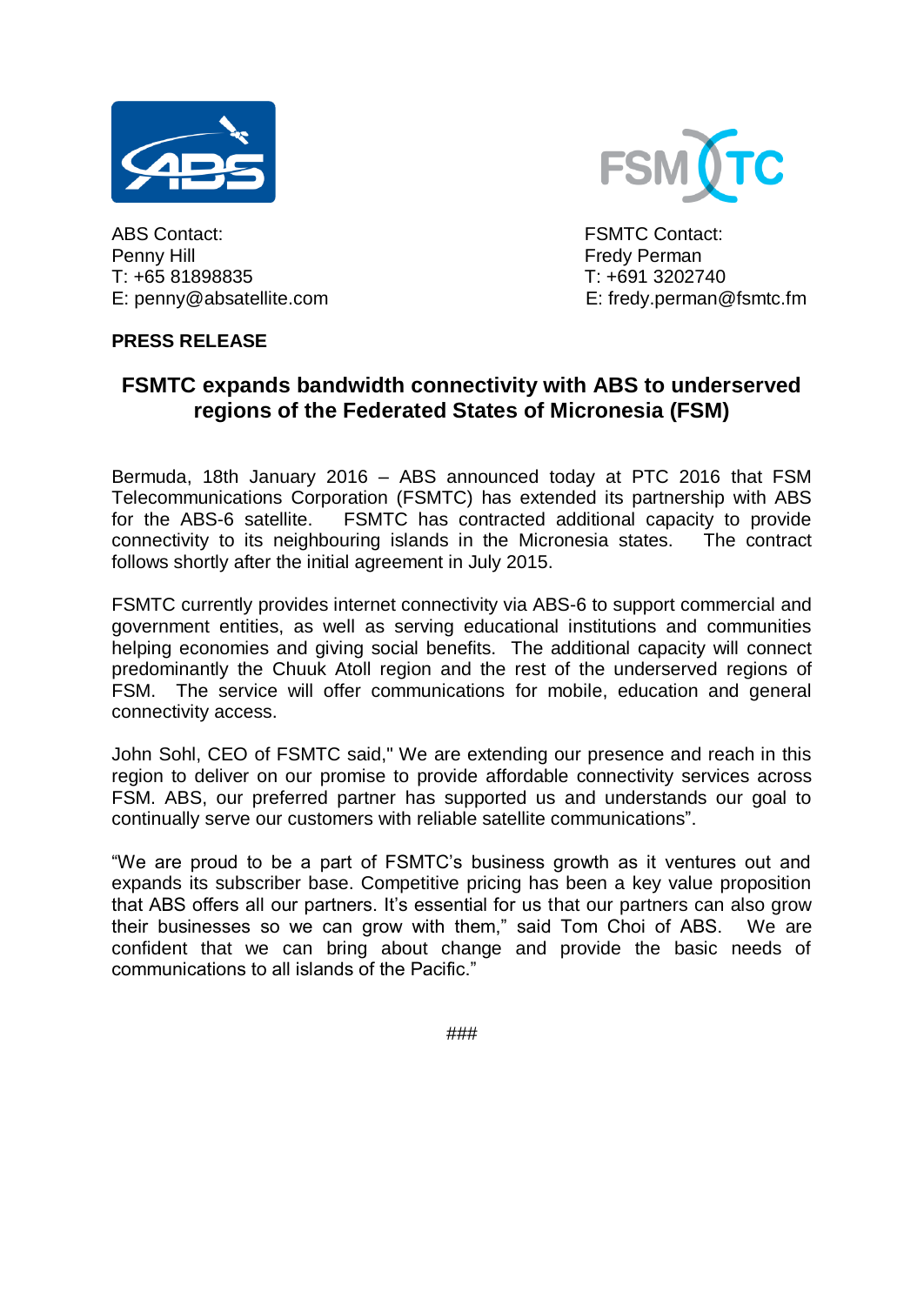



ABS Contact: FSMTC Contact: Penny Hill **Fredy Perman** T: +65 81898835 T: +691 3202740 E: penny@absatellite.com E: fredy.perman@fsmtc.fm

## **PRESS RELEASE**

## **FSMTC expands bandwidth connectivity with ABS to underserved regions of the Federated States of Micronesia (FSM)**

Bermuda, 18th January 2016 – ABS announced today at PTC 2016 that FSM Telecommunications Corporation (FSMTC) has extended its partnership with ABS for the ABS-6 satellite. FSMTC has contracted additional capacity to provide connectivity to its neighbouring islands in the Micronesia states. The contract follows shortly after the initial agreement in July 2015.

FSMTC currently provides internet connectivity via ABS-6 to support commercial and government entities, as well as serving educational institutions and communities helping economies and giving social benefits. The additional capacity will connect predominantly the Chuuk Atoll region and the rest of the underserved regions of FSM. The service will offer communications for mobile, education and general connectivity access.

John Sohl, CEO of FSMTC said," We are extending our presence and reach in this region to deliver on our promise to provide affordable connectivity services across FSM. ABS, our preferred partner has supported us and understands our goal to continually serve our customers with reliable satellite communications".

"We are proud to be a part of FSMTC's business growth as it ventures out and expands its subscriber base. Competitive pricing has been a key value proposition that ABS offers all our partners. It's essential for us that our partners can also grow their businesses so we can grow with them," said Tom Choi of ABS. We are confident that we can bring about change and provide the basic needs of communications to all islands of the Pacific."

###